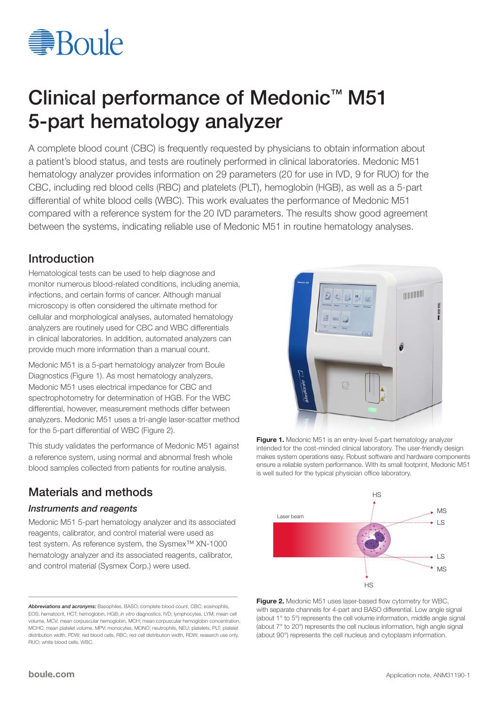

# Clinical performance of Medonic<sup>™</sup> M51 5-part hematology analyzer

A complete blood count (CBC) is frequently requested by physicians to obtain information about a patient's blood status, and tests are routinely performed in clinical laboratories. Medonic M51 hematology analyzer provides information on 29 parameters (20 for use in IVD, 9 for RUO) for the CBC, including red blood cells (RBC) and platelets (PLT), hemoglobin (HGB), as well as a 5-part differential of white blood cells (WBC). This work evaluates the performance of Medonic M51 compared with a reference system for the 20 IVD parameters. The results show good agreement between the systems, indicating reliable use of Medonic M51 in routine hematology analyses.

## Introduction

Hematological tests can be used to help diagnose and monitor numerous blood-related conditions, including anemia, infections, and certain forms of cancer. Although manual microscopy is often considered the ultimate method for cellular and morphological analyses, automated hematology analyzers are routinely used for CBC and WBC differentials in clinical laboratories. In addition, automated analyzers can provide much more information than a manual count.

Medonic M51 is a 5-part hematology analyzer from Boule Diagnostics (Figure 1). As most hematology analyzers, Medonic M51 uses electrical impedance for CBC and spectrophotometry for determination of HGB. For the WBC differential, however, measurement methods differ between analyzers. Medonic M51 uses a tri-angle laser-scatter method for the 5-part differential of WBC (Figure 2).

This study validates the performance of Medonic M51 against a reference system, using normal and abnormal fresh whole blood samples collected from patients for routine analysis.

## Materials and methods

#### *Instruments and reagents*

Medonic M51 5-part hematology analyzer and its associated reagents, calibrator, and control material were used as test system. As reference system, the Sysmex™ XN-1000 hematology analyzer and its associated reagents, calibrator, and control material (Sysmex Corp.) were used.



Figure 1. Medonic M51 is an entry-level 5-part hematology analyzer intended for the cost-minded clinical laboratory. The user-friendly design makes system operations easy. Robust software and hardware components ensure a reliable system performance. With its small footprint, Medonic M51 is well suited for the typical physician office laboratory.



Figure 2. Medonic M51 uses laser-based flow cytometry for WBC, with separate channels for 4-part and BASO differential. Low angle signal (about 1° to 5°) represents the cell volume information, middle angle signal (about 7° to 20°) represents the cell nucleus information, high angle signal (about 90°) represents the cell nucleus and cytoplasm information.

*Abbreviations and acronyms:* Basophiles, BASO; complete blood count, CBC; eosinophils, EOS; hematocrit, HCT; hemoglobin, HGB; *in vitro* diagnostics, IVD; lymphocytes, LYM; mean cell volume, MCV; mean corpuscular hemoglobin, MCH; mean corpuscular hemoglobin concentration, MCHC; mean platelet volume, MPV; monocytes, MONO; neutrophils, NEU; platelets, PLT; platelet distribution width, PDW; red blood cells, RBC; red cell distribution width, RDW; research use only, RUO; white blood cells, WBC.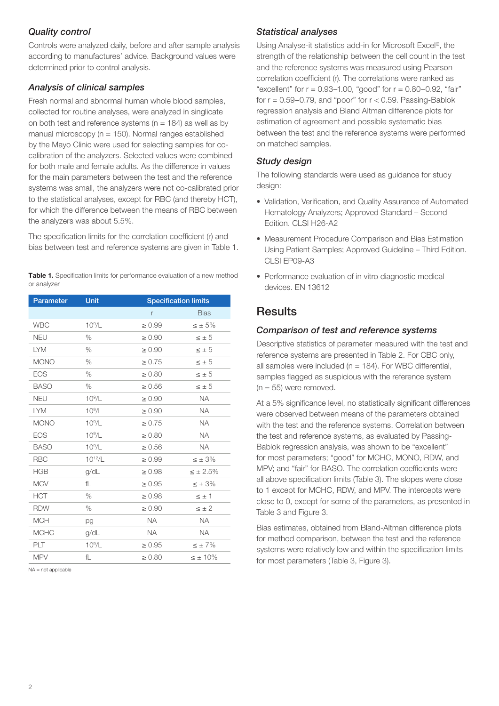#### *Quality control*

Controls were analyzed daily, before and after sample analysis according to manufactures' advice. Background values were determined prior to control analysis.

#### *Analysis of clinical samples*

Fresh normal and abnormal human whole blood samples, collected for routine analyses, were analyzed in singlicate on both test and reference systems ( $n = 184$ ) as well as by manual microscopy ( $n = 150$ ). Normal ranges established by the Mayo Clinic were used for selecting samples for cocalibration of the analyzers. Selected values were combined for both male and female adults. As the difference in values for the main parameters between the test and the reference systems was small, the analyzers were not co-calibrated prior to the statistical analyses, except for RBC (and thereby HCT), for which the difference between the means of RBC between the analyzers was about 5.5%.

The specification limits for the correlation coefficient (r) and bias between test and reference systems are given in Table 1.

Table 1. Specification limits for performance evaluation of a new method or analyzer

| <b>Parameter</b> | Unit               | <b>Specification limits</b> |                  |
|------------------|--------------------|-----------------------------|------------------|
|                  |                    | r                           | <b>Bias</b>      |
| <b>WBC</b>       | $10^9/L$           | $\geq 0.99$                 | $\leq \pm 5\%$   |
| <b>NEU</b>       | $\%$               | $\geq 0.90$                 | $\leq \pm 5$     |
| <b>LYM</b>       | $\%$               | $\geq 0.90$                 | $\leq \pm 5$     |
| <b>MONO</b>      | %                  | $\geq 0.75$                 | $\leq \pm 5$     |
| <b>EOS</b>       | $\%$               | $\geq 0.80$                 | $\leq \pm 5$     |
| <b>BASO</b>      | $\%$               | $\geq 0.56$                 | $\leq \pm 5$     |
| <b>NEU</b>       | $10^9/L$           | $\geq 0.90$                 | <b>NA</b>        |
| <b>LYM</b>       | $10^9/L$           | $\geq 0.90$                 | <b>NA</b>        |
| <b>MONO</b>      | $10^9/L$           | $\geq 0.75$                 | <b>NA</b>        |
| <b>EOS</b>       | $10^9/L$           | $\geq 0.80$                 | <b>NA</b>        |
| <b>BASO</b>      | 10 <sup>9</sup> /L | $\geq 0.56$                 | <b>NA</b>        |
| <b>RBC</b>       | $10^{12}/L$        | $\geq 0.99$                 | $\leq \pm 3\%$   |
| <b>HGB</b>       | g/dL               | $\geq 0.98$                 | $\leq \pm 2.5\%$ |
| <b>MCV</b>       | fL                 | $\geq 0.95$                 | $\leq \pm 3\%$   |
| <b>HCT</b>       | $\%$               | $\geq 0.98$                 | $\leq \pm 1$     |
| <b>RDW</b>       | %                  | $\geq 0.90$                 | $\leq \pm 2$     |
| <b>MCH</b>       | pg                 | <b>NA</b>                   | <b>NA</b>        |
| <b>MCHC</b>      | g/dL               | <b>NA</b>                   | <b>NA</b>        |
| PLT              | 10 <sup>9</sup> /L | $\geq 0.95$                 | $\leq \pm 7\%$   |
| <b>MPV</b>       | fL                 | $\geq 0.80$                 | $\leq \pm 10\%$  |

 $NA = not$  applicable

#### *Statistical analyses*

Using Analyse-it statistics add-in for Microsoft Excel®, the strength of the relationship between the cell count in the test and the reference systems was measured using Pearson correlation coefficient (r). The correlations were ranked as "excellent" for  $r = 0.93 - 1.00$ , "good" for  $r = 0.80 - 0.92$ , "fair" for  $r = 0.59 - 0.79$ , and "poor" for  $r < 0.59$ . Passing-Bablok regression analysis and Bland Altman difference plots for estimation of agreement and possible systematic bias between the test and the reference systems were performed on matched samples.

#### *Study design*

The following standards were used as guidance for study design:

- Validation, Verification, and Quality Assurance of Automated Hematology Analyzers; Approved Standard – Second Edition. CLSI H26-A2
- Measurement Procedure Comparison and Bias Estimation Using Patient Samples; Approved Guideline – Third Edition. CLSI EP09-A3
- Performance evaluation of in vitro diagnostic medical devices. EN 13612

## **Results**

#### *Comparison of test and reference systems*

Descriptive statistics of parameter measured with the test and reference systems are presented in Table 2. For CBC only, all samples were included ( $n = 184$ ). For WBC differential, samples flagged as suspicious with the reference system  $(n = 55)$  were removed.

At a 5% significance level, no statistically significant differences were observed between means of the parameters obtained with the test and the reference systems. Correlation between the test and reference systems, as evaluated by Passing-Bablok regression analysis, was shown to be "excellent" for most parameters; "good" for MCHC, MONO, RDW, and MPV; and "fair" for BASO. The correlation coefficients were all above specification limits (Table 3). The slopes were close to 1 except for MCHC, RDW, and MPV. The intercepts were close to 0, except for some of the parameters, as presented in Table 3 and Figure 3.

Bias estimates, obtained from Bland-Altman difference plots for method comparison, between the test and the reference systems were relatively low and within the specification limits for most parameters (Table 3, Figure 3).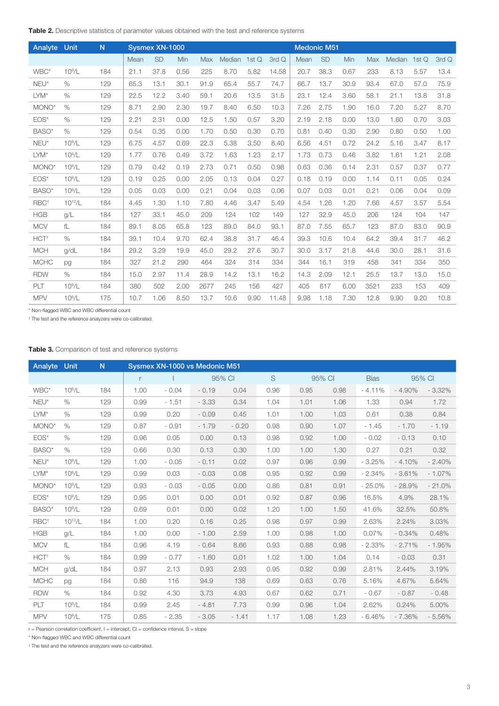| Analyte          | Unit        | N   |      | Sysmex XN-1000 |      |      |              |      |       |      | <b>Medonic M51</b> |      |      |              |      |       |
|------------------|-------------|-----|------|----------------|------|------|--------------|------|-------|------|--------------------|------|------|--------------|------|-------|
|                  |             |     | Mean | <b>SD</b>      | Min  | Max  | Median 1st Q |      | 3rd Q | Mean | <b>SD</b>          | Min  | Max  | Median 1st Q |      | 3rd Q |
| WBC*             | $10^9/L$    | 184 | 21.1 | 37.8           | 0.56 | 225  | 8.70         | 5.82 | 14.58 | 20.7 | 38.3               | 0.67 | 233  | 8.13         | 5.57 | 13.4  |
| $NEU^*$          | $\%$        | 129 | 65.3 | 13.1           | 30.1 | 91.9 | 65.4         | 55.7 | 74.7  | 66.7 | 13.7               | 30.9 | 93.4 | 67.0         | 57.0 | 75.9  |
| LYM*             | $\%$        | 129 | 22.5 | 12.2           | 3.40 | 59.1 | 20.6         | 13.5 | 31.5  | 23.1 | 12.4               | 3.60 | 58.1 | 21.1         | 13.8 | 31.8  |
| MONO*            | $\%$        | 129 | 8.71 | 2.90           | 2.30 | 19.7 | 8.40         | 6.50 | 10.3  | 7.26 | 2.75               | 1.90 | 16.0 | 7.20         | 5.27 | 8.70  |
| $EOS*$           | $\%$        | 129 | 2.21 | 2.31           | 0.00 | 12.5 | 1.50         | 0.57 | 3.20  | 2.19 | 2.18               | 0.00 | 13.0 | 1.60         | 0.70 | 3.03  |
| BASO*            | $\%$        | 129 | 0.54 | 0.35           | 0.00 | 1.70 | 0.50         | 0.30 | 0.70  | 0.81 | 0.40               | 0.30 | 2.90 | 0.80         | 0.50 | 1.00  |
| NEU*             | $10^9/L$    | 129 | 6.75 | 4.57           | 0.69 | 22.3 | 5.38         | 3.50 | 8.40  | 6.56 | 4.51               | 0.72 | 24.2 | 5.16         | 3.47 | 8.17  |
| LYM*             | $10^9/L$    | 129 | 1.77 | 0.76           | 0.49 | 3.72 | 1.63         | 1.23 | 2.17  | 1.73 | 0.73               | 0.46 | 3.82 | 1.61         | 1.21 | 2.08  |
| MONO*            | $10^9/L$    | 129 | 0.79 | 0.42           | 0.19 | 2.73 | 0.71         | 0.50 | 0.98  | 0.63 | 0.36               | 0.14 | 2.31 | 0.57         | 0.37 | 0.77  |
| $EOS*$           | $10^9/L$    | 129 | 0.19 | 0.25           | 0.00 | 2.05 | 0.13         | 0.04 | 0.27  | 0.18 | 0.19               | 0.00 | 1.14 | 0.11         | 0.05 | 0.24  |
| BASO*            | $10^9/L$    | 129 | 0.05 | 0.03           | 0.00 | 0.21 | 0.04         | 0.03 | 0.06  | 0.07 | 0.03               | 0.01 | 0.21 | 0.06         | 0.04 | 0.09  |
| RBC <sup>+</sup> | $10^{12}/L$ | 184 | 4.45 | 1.30           | 1.10 | 7.80 | 4.46         | 3.47 | 5.49  | 4.54 | 1.26               | 1.20 | 7.66 | 4.57         | 3.57 | 5.54  |
| <b>HGB</b>       | g/L         | 184 | 127  | 33.1           | 45.0 | 209  | 124          | 102  | 149   | 127  | 32.9               | 45.0 | 206  | 124          | 104  | 147   |
| <b>MCV</b>       | fL          | 184 | 89.1 | 8.05           | 65.8 | 123  | 89.0         | 84.0 | 93.1  | 87.0 | 7.55               | 65.7 | 123  | 87.0         | 83.0 | 90.9  |
| HCT <sup>+</sup> | $\%$        | 184 | 39.1 | 10.4           | 9.70 | 62.4 | 38.8         | 31.7 | 46.4  | 39.3 | 10.6               | 10.4 | 64.2 | 39.4         | 31.7 | 46.2  |
| <b>MCH</b>       | q/dL        | 184 | 29.2 | 3.29           | 19.9 | 45.0 | 29.2         | 27.6 | 30.7  | 30.0 | 3.17               | 21.8 | 44.6 | 30.0         | 28.1 | 31.6  |
| <b>MCHC</b>      | pg          | 184 | 327  | 21.2           | 290  | 464  | 324          | 314  | 334   | 344  | 16.1               | 319  | 458  | 341          | 334  | 350   |
| <b>RDW</b>       | $\%$        | 184 | 15.0 | 2.97           | 11.4 | 28.9 | 14.2         | 13.1 | 16.2  | 14.3 | 2.09               | 12.1 | 25.5 | 13.7         | 13.0 | 15.0  |
| PLT              | $10^9/L$    | 184 | 380  | 502            | 2.00 | 2677 | 245          | 156  | 427   | 405  | 617                | 6.00 | 3521 | 233          | 153  | 409   |
| <b>MPV</b>       | $10^9/L$    | 175 | 10.7 | 1.06           | 8.50 | 13.7 | 10.6         | 9.90 | 11.48 | 9.98 | 1.18               | 7.30 | 12.8 | 9.90         | 9.20 | 10.8  |

\* Non-flagged WBC and WBC differential count

† The test and the reference analyzers were co-calibrated.

| Table 3. Comparison of test and reference systems |  |
|---------------------------------------------------|--|
|---------------------------------------------------|--|

| <b>Analyte Unit</b> |             | N.  | Sysmex XN-1000 vs Medonic M51 |         |         |         |      |        |      |             |          |          |
|---------------------|-------------|-----|-------------------------------|---------|---------|---------|------|--------|------|-------------|----------|----------|
|                     |             |     | r                             |         |         | 95% CI  | S    | 95% CI |      | <b>Bias</b> |          | 95% CI   |
| WBC*                | $10^9/L$    | 184 | 1.00                          | $-0.04$ | $-0.19$ | 0.04    | 0.96 | 0.95   | 0.98 | $-4.11%$    | $-4.90%$ | $-3.32%$ |
| $NEU^*$             | $\%$        | 129 | 0.99                          | $-1.51$ | $-3.33$ | 0.34    | 1.04 | 1.01   | 1.06 | 1.33        | 0.94     | 1.72     |
| $LYM^*$             | $\%$        | 129 | 0.99                          | 0.20    | $-0.09$ | 0.45    | 1.01 | 1.00   | 1.03 | 0.61        | 0.38     | 0.84     |
| MONO*               | $\%$        | 129 | 0.87                          | $-0.91$ | $-1.79$ | $-0.20$ | 0.98 | 0.90   | 1.07 | $-1.45$     | $-1.70$  | $-1.19$  |
| $EOS*$              | $\%$        | 129 | 0.96                          | 0.05    | 0.00    | 0.13    | 0.98 | 0.92   | 1.00 | $-0.02$     | $-0.13$  | 0.10     |
| BASO*               | $\%$        | 129 | 0.66                          | 0.30    | 0.13    | 0.30    | 1.00 | 1.00   | 1.30 | 0.27        | 0.21     | 0.32     |
| $NEU^*$             | $10^9/L$    | 129 | 1.00                          | $-0.05$ | $-0.11$ | 0.02    | 0.97 | 0.96   | 0.99 | $-3.25%$    | $-4.10%$ | $-2.40%$ |
| $LYM^*$             | $10^9/L$    | 129 | 0.99                          | 0.03    | $-0.03$ | 0.08    | 0.95 | 0.92   | 0.99 | $-2.34%$    | $-3.61%$ | $-1.07%$ |
| MONO*               | $10^9/L$    | 129 | 0.93                          | $-0.03$ | $-0.05$ | 0.00    | 0.86 | 0.81   | 0.91 | $-25.0%$    | $-28.9%$ | $-21.0%$ |
| $EOS^*$             | $10^9/L$    | 129 | 0.95                          | 0.01    | 0.00    | 0.01    | 0.92 | 0.87   | 0.96 | 16.5%       | 4.9%     | 28.1%    |
| BASO*               | $10^9/L$    | 129 | 0.69                          | 0.01    | 0.00    | 0.02    | 1.20 | 1.00   | 1.50 | 41.6%       | 32.5%    | 50.8%    |
| RBC <sup>+</sup>    | $10^{12}/L$ | 184 | 1.00                          | 0.20    | 0.16    | 0.25    | 0.98 | 0.97   | 0.99 | 2.63%       | 2.24%    | 3.03%    |
| <b>HGB</b>          | g/L         | 184 | 1.00                          | 0.00    | $-1.00$ | 2.59    | 1.00 | 0.98   | 1.00 | 0.07%       | $-0.34%$ | 0.48%    |
| <b>MCV</b>          | fL          | 184 | 0.96                          | 4.19    | $-0.64$ | 8.66    | 0.93 | 0.88   | 0.98 | $-2.33%$    | $-2.71%$ | $-1.95%$ |
| $HCT+$              | $\%$        | 184 | 0.99                          | $-0.77$ | $-1.60$ | 0.01    | 1.02 | 1.00   | 1.04 | 0.14        | $-0.03$  | 0.31     |
| <b>MCH</b>          | g/dL        | 184 | 0.97                          | 2.13    | 0.93    | 2.93    | 0.95 | 0.92   | 0.99 | 2.81%       | 2.44%    | 3.19%    |
| <b>MCHC</b>         | pg          | 184 | 0.86                          | 116     | 94.9    | 138     | 0.69 | 0.63   | 0.76 | 5.16%       | 4.67%    | 5.64%    |
| <b>RDW</b>          | $\%$        | 184 | 0.92                          | 4.30    | 3.73    | 4.93    | 0.67 | 0.62   | 0.71 | $-0.67$     | $-0.87$  | $-0.48$  |
| <b>PLT</b>          | $10^9/L$    | 184 | 0.99                          | 2.45    | $-4.81$ | 7.73    | 0.99 | 0.96   | 1.04 | 2.62%       | 0.24%    | 5.00%    |
| <b>MPV</b>          | $10^9/L$    | 175 | 0.85                          | $-2.35$ | $-3.05$ | $-1.41$ | 1.17 | 1.08   | 1.23 | $-6.46%$    | $-7.36%$ | $-5.56%$ |

 $r =$  Pearson correlation coefficient,  $I =$  intercept,  $CI =$  confidence interval,  $S =$  slope

\* Non-flagged WBC and WBC differential count

† The test and the reference analyzers were co-calibrated.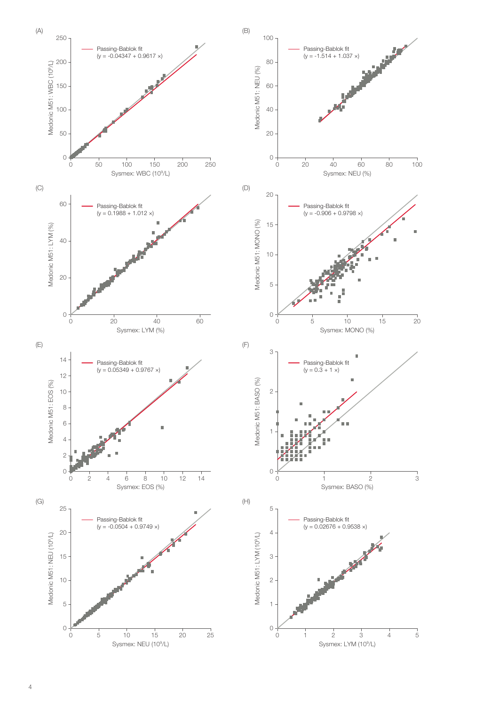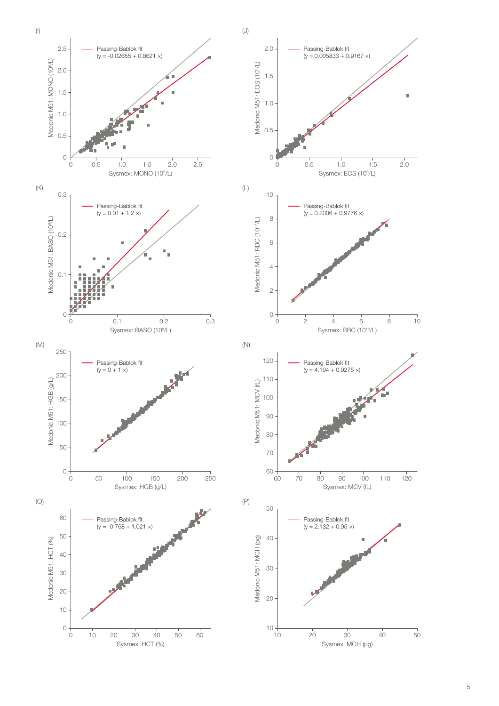

5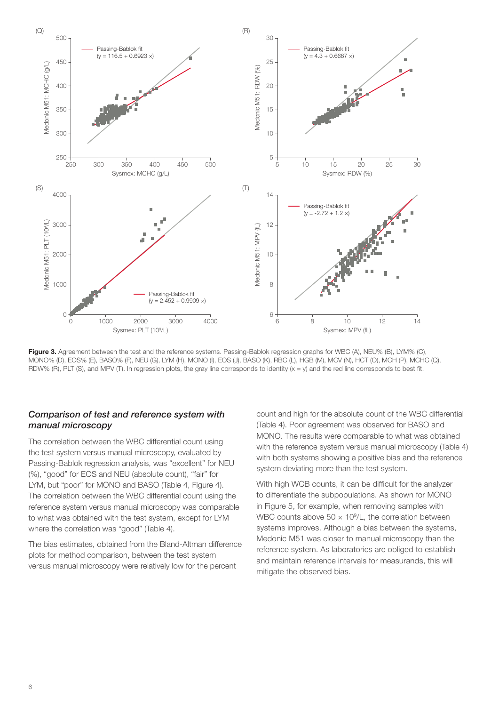

Figure 3. Agreement between the test and the reference systems. Passing-Bablok regression graphs for WBC (A), NEU% (B), LYM% (C), MONO% (D), EOS% (E), BASO% (F), NEU (G), LYM (H), MONO (I), EOS (J), BASO (K), RBC (L), HGB (M), MCV (N), HCT (O), MCH (P), MCHC (Q), RDW% (R), PLT (S), and MPV (T). In regression plots, the gray line corresponds to identity  $(x = y)$  and the red line corresponds to best fit.

#### *Comparison of test and reference system with manual microscopy*

The correlation between the WBC differential count using the test system versus manual microscopy, evaluated by Passing-Bablok regression analysis, was "excellent" for NEU (%), "good" for EOS and NEU (absolute count), "fair" for LYM, but "poor" for MONO and BASO (Table 4, Figure 4). The correlation between the WBC differential count using the reference system versus manual microscopy was comparable to what was obtained with the test system, except for LYM where the correlation was "good" (Table 4).

The bias estimates, obtained from the Bland-Altman difference plots for method comparison, between the test system versus manual microscopy were relatively low for the percent

count and high for the absolute count of the WBC differential (Table 4). Poor agreement was observed for BASO and MONO. The results were comparable to what was obtained with the reference system versus manual microscopy (Table 4) with both systems showing a positive bias and the reference system deviating more than the test system.

With high WCB counts, it can be difficult for the analyzer to differentiate the subpopulations. As shown for MONO in Figure 5, for example, when removing samples with WBC counts above  $50 \times 10^9$ /L, the correlation between systems improves. Although a bias between the systems, Medonic M51 was closer to manual microscopy than the reference system. As laboratories are obliged to establish and maintain reference intervals for measurands, this will mitigate the observed bias.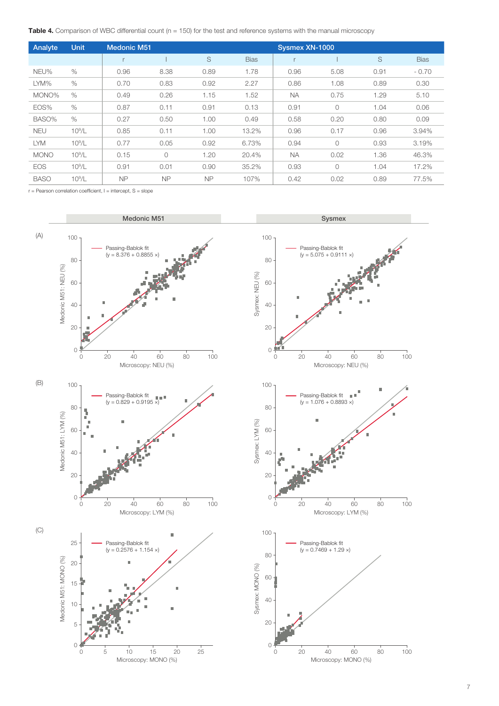**Table 4.** Comparison of WBC differential count  $(n = 150)$  for the test and reference systems with the manual microscopy

| Analyte     | Unit     | <b>Medonic M51</b> |           | Sysmex XN-1000 |             |           |            |      |             |  |
|-------------|----------|--------------------|-----------|----------------|-------------|-----------|------------|------|-------------|--|
|             |          | r                  |           | S              | <b>Bias</b> |           |            | S    | <b>Bias</b> |  |
| NEU%        | $\%$     | 0.96               | 8.38      | 0.89           | 1.78        | 0.96      | 5.08       | 0.91 | $-0.70$     |  |
| LYM%        | $\%$     | 0.70               | 0.83      | 0.92           | 2.27        | 0.86      | 1.08       | 0.89 | 0.30        |  |
| MONO%       | $\%$     | 0.49               | 0.26      | 1.15           | 1.52        | <b>NA</b> | 0.75       | 1.29 | 5.10        |  |
| EOS%        | $\%$     | 0.87               | 0.11      | 0.91           | 0.13        | 0.91      | $\circ$    | 1.04 | 0.06        |  |
| BASO%       | $\%$     | 0.27               | 0.50      | 1.00           | 0.49        | 0.58      | 0.20       | 0.80 | 0.09        |  |
| <b>NEU</b>  | $10^9/L$ | 0.85               | 0.11      | 1.00           | 13.2%       | 0.96      | 0.17       | 0.96 | 3.94%       |  |
| <b>LYM</b>  | $10^9/L$ | 0.77               | 0.05      | 0.92           | 6.73%       | 0.94      | $\circ$    | 0.93 | 3.19%       |  |
| <b>MONO</b> | $10^9/L$ | 0.15               | $\circ$   | 1.20           | 20.4%       | <b>NA</b> | 0.02       | 1.36 | 46.3%       |  |
| <b>EOS</b>  | $10^9/L$ | 0.91               | 0.01      | 0.90           | 35.2%       | 0.93      | $\bigcirc$ | 1.04 | 17.2%       |  |
| <b>BASO</b> | $10^9/L$ | <b>NP</b>          | <b>NP</b> | <b>NP</b>      | 107%        | 0.42      | 0.02       | 0.89 | 77.5%       |  |

 $r =$  Pearson correlation coefficient,  $I =$  intercept,  $S =$  slope

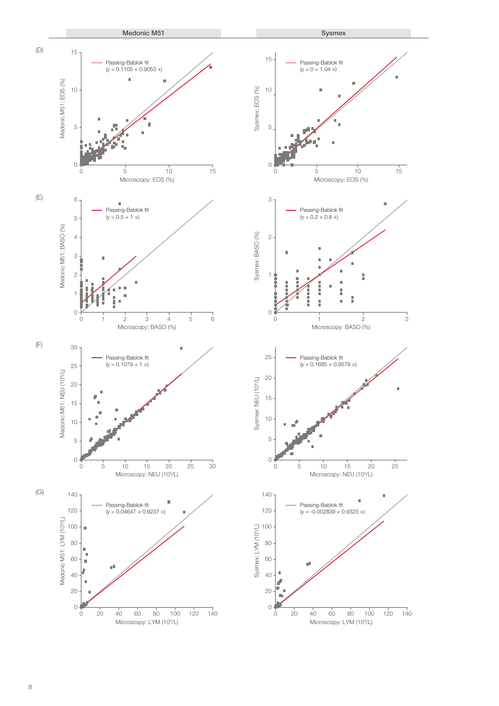



Microscopy: LYM (10<sup>9</sup>/L)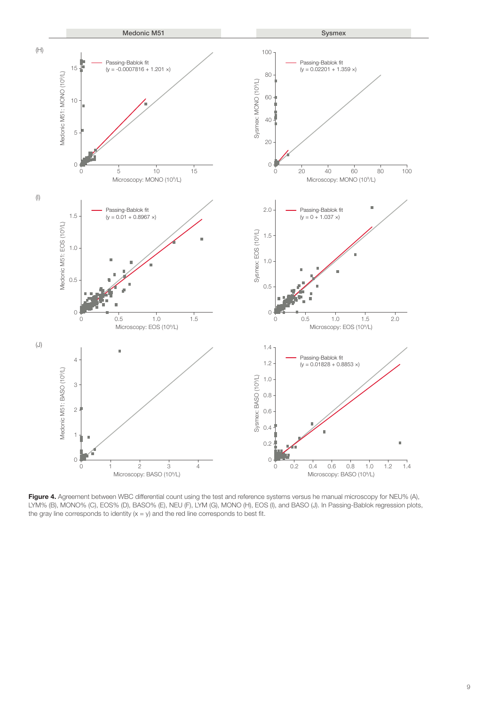

Figure 4. Agreement between WBC differential count using the test and reference systems versus he manual microscopy for NEU% (A), LYM% (B), MONO% (C), EOS% (D), BASO% (E), NEU (F), LYM (G), MONO (H), EOS (I), and BASO (J). In Passing-Bablok regression plots, the gray line corresponds to identity  $(x = y)$  and the red line corresponds to best fit.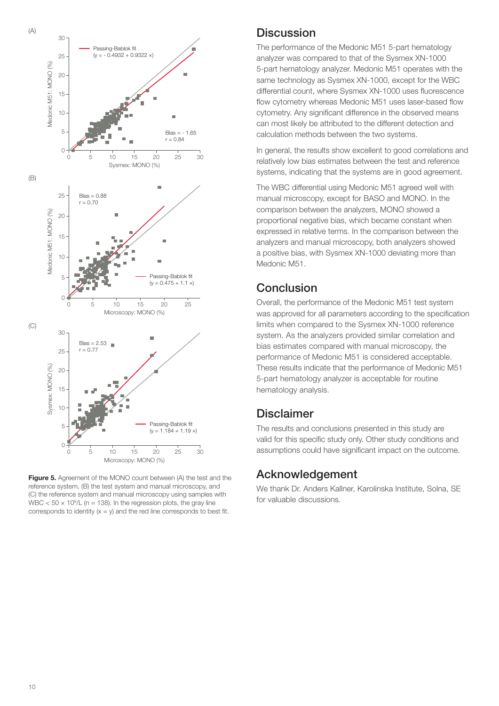

**Figure 5.** Agreement of the MONO count between (A) the test and the reference system, (B) the test system and manual microscopy, and (C) the reference system and manual microscopy using samples with WBC  $<$  50  $\times$  10<sup>9</sup>/L (n = 138). In the regression plots, the gray line corresponds to identity  $(x = y)$  and the red line corresponds to best fit.

### **Discussion**

The performance of the Medonic M51 5-part hematology analyzer was compared to that of the Sysmex XN-1000 5-part hematology analyzer. Medonic M51 operates with the same technology as Sysmex XN-1000, except for the WBC differential count, where Sysmex XN-1000 uses fluorescence flow cytometry whereas Medonic M51 uses laser-based flow cytometry. Any significant difference in the observed means can most likely be attributed to the different detection and calculation methods between the two systems.

In general, the results show excellent to good correlations and relatively low bias estimates between the test and reference systems, indicating that the systems are in good agreement.

The WBC differential using Medonic M51 agreed well with manual microscopy, except for BASO and MONO. In the comparison between the analyzers, MONO showed a proportional negative bias, which became constant when expressed in relative terms. In the comparison between the analyzers and manual microscopy, both analyzers showed a positive bias, with Sysmex XN-1000 deviating more than Medonic M51.

## **Conclusion**

Overall, the performance of the Medonic M51 test system was approved for all parameters according to the specification limits when compared to the Sysmex XN-1000 reference system. As the analyzers provided similar correlation and bias estimates compared with manual microscopy, the performance of Medonic M51 is considered acceptable. These results indicate that the performance of Medonic M51 5-part hematology analyzer is acceptable for routine hematology analysis.

## Disclaimer

The results and conclusions presented in this study are valid for this specific study only. Other study conditions and assumptions could have significant impact on the outcome.

## Acknowledgement

We thank Dr. Anders Kallner, Karolinska Institute, Solna, SE for valuable discussions.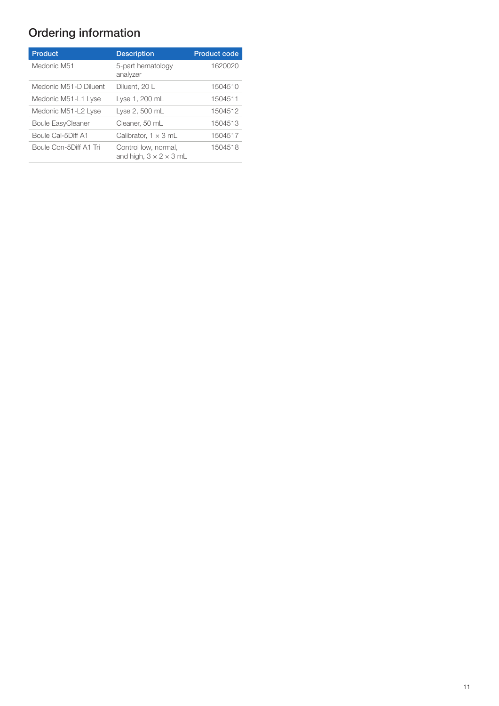## Ordering information

| <b>Product</b>           | <b>Description</b>                                         | <b>Product code</b> |
|--------------------------|------------------------------------------------------------|---------------------|
| Medonic M51              | 5-part hematology<br>analyzer                              | 1620020             |
| Medonic M51-D Diluent    | Diluent, 20 L                                              | 1504510             |
| Medonic M51-L1 Lyse      | Lyse 1, 200 mL                                             | 1504511             |
| Medonic M51-L2 Lyse      | Lyse 2, 500 mL                                             | 1504512             |
| <b>Boule EasyCleaner</b> | Cleaner, 50 mL                                             | 1504513             |
| Boule Cal-5Diff A1       | Calibrator, $1 \times 3$ mL                                | 1504517             |
| Boule Con-5Diff A1 Tri   | Control low, normal,<br>and high, $3 \times 2 \times 3$ mL | 1504518             |